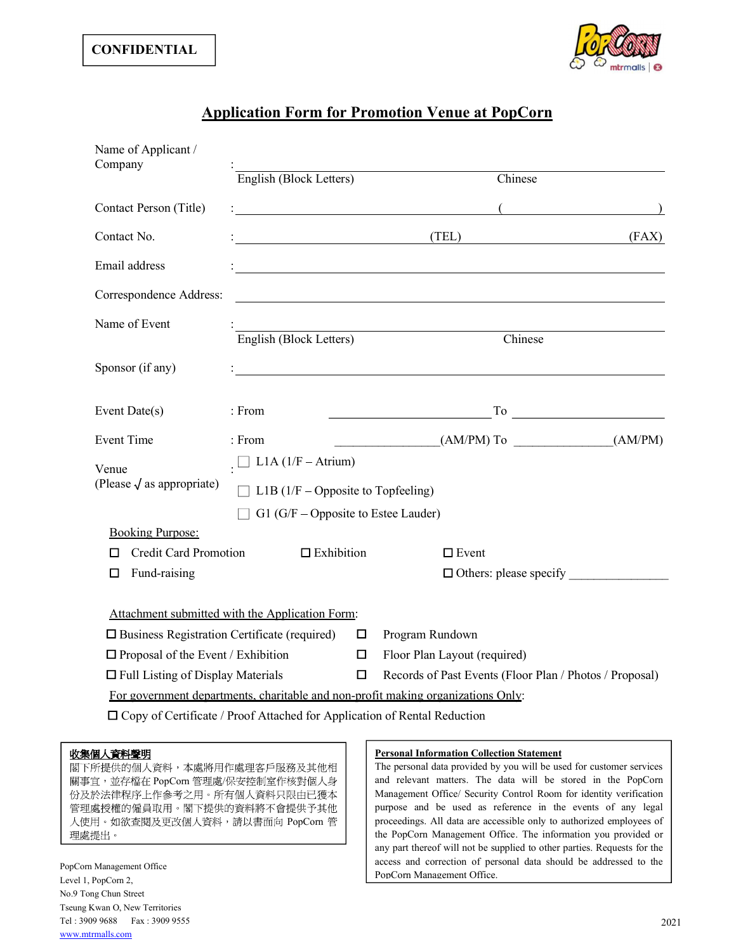

## Application Form for Promotion Venue at PopCorn

| Name of Applicant /<br>Company                         |                                                                                 |        |                                                                                                           |       |
|--------------------------------------------------------|---------------------------------------------------------------------------------|--------|-----------------------------------------------------------------------------------------------------------|-------|
|                                                        | English (Block Letters)                                                         |        | Chinese                                                                                                   |       |
| Contact Person (Title)                                 |                                                                                 |        | $\left($<br><u> 1980 - Johann Stoff, fransk politik (d. 1980)</u>                                         |       |
| Contact No.                                            | <u> 1989 - Johann Stoff, Amerikaansk politiker (</u>                            |        | (TEL)                                                                                                     | (FAX) |
| Email address                                          |                                                                                 |        |                                                                                                           |       |
| Correspondence Address:                                |                                                                                 |        |                                                                                                           |       |
| Name of Event                                          |                                                                                 |        | English (Block Letters) Chinese                                                                           |       |
| Sponsor (if any)                                       |                                                                                 |        |                                                                                                           |       |
| Event Date(s)                                          | : From                                                                          |        | $\overline{\phantom{a}}$ To $\overline{\phantom{a}}$<br><u> 1989 - Johann Barbara, martxa alemaniar a</u> |       |
| <b>Event Time</b>                                      | : From                                                                          |        | $(AM/PM)$ To $(AM/PM)$                                                                                    |       |
| Venue<br>(Please $\sqrt{a}$ as appropriate)            | $\Box$ L1A (1/F – Atrium)<br>$\Box$ L1B (1/F – Opposite to Topfeeling)          |        |                                                                                                           |       |
| <b>Booking Purpose:</b>                                | G1 (G/F – Opposite to Estee Lauder)                                             |        |                                                                                                           |       |
| <b>Credit Card Promotion</b><br>П                      | $\Box$ Exhibition                                                               |        | $\square$ Event                                                                                           |       |
| Fund-raising<br>□                                      |                                                                                 |        | $\Box$ Others: please specify                                                                             |       |
|                                                        | Attachment submitted with the Application Form:                                 |        |                                                                                                           |       |
| $\square$ Business Registration Certificate (required) |                                                                                 | $\Box$ | Program Rundown                                                                                           |       |
| $\Box$ Proposal of the Event / Exhibition              |                                                                                 | $\Box$ | Floor Plan Layout (required)                                                                              |       |
| $\Box$ Full Listing of Display Materials               |                                                                                 | $\Box$ | Records of Past Events (Floor Plan / Photos / Proposal)                                                   |       |
|                                                        |                                                                                 |        | For government departments, charitable and non-profit making organizations Only:                          |       |
|                                                        | $\Box$ Copy of Certificate / Proof Attached for Application of Rental Reduction |        |                                                                                                           |       |
|                                                        |                                                                                 |        |                                                                                                           |       |

## 收集個人資料聲明

閣下所提供的個人資料,本處將用作處理客戶服務及其他相 關事宜,並存檔在 PopCorn 管理處/保安控制室作核對個人身 份及於法律程序上作參考之用。所有個人資料只限由已獲本 管理處授權的僱員取用。閣下提供的資料將不會提供予其他 理處提出。

## Personal Information Collection Statement

PopCorn  $\tilde{f}$  | | proceedings. All data are accessible only to authorized employees of | The personal data provided by you will be used for customer services and relevant matters. The data will be stored in the PopCorn Management Office/ Security Control Room for identity verification purpose and be used as reference in the events of any legal the PopCorn Management Office. The information you provided or any part thereof will not be supplied to other parties. Requests for the access and correction of personal data should be addressed to the PopCorn Management Office.

PopCorn Management Office Level 1, PopCorn 2, No.9 Tong Chun Street Tseung Kwan O, New Territories Tel : 3909 9688 Fax : 3909 9555 www.mtrmalls.com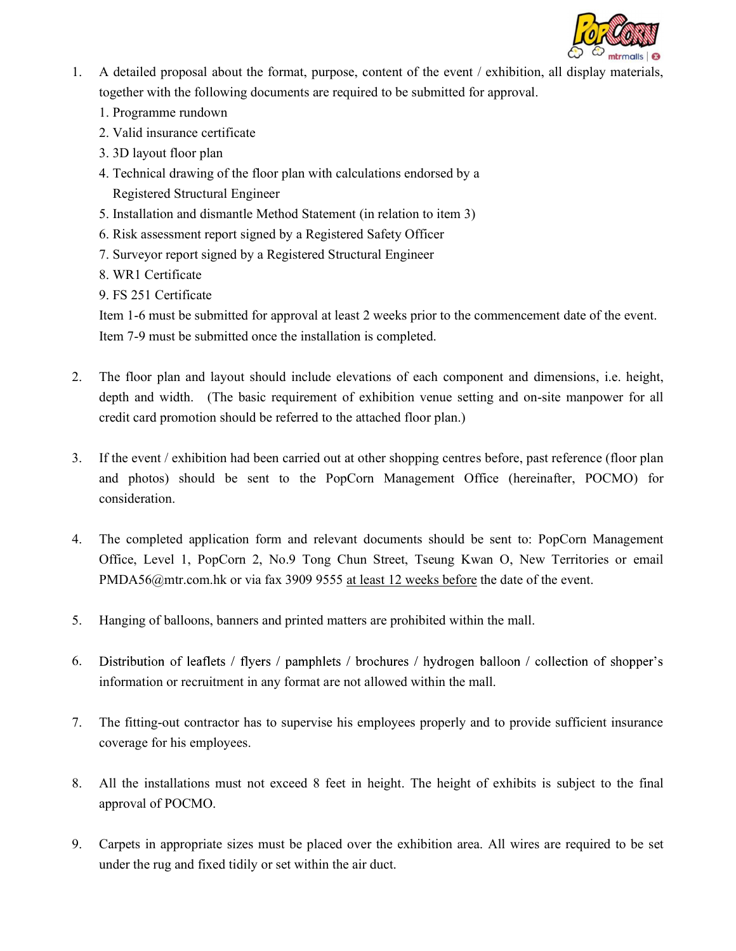

- 1. A detailed proposal about the format, purpose, content of the event / exhibition, all display materials, together with the following documents are required to be submitted for approval.
	- 1. Programme rundown
	- 2. Valid insurance certificate
	- 3. 3D layout floor plan
	- 4. Technical drawing of the floor plan with calculations endorsed by a Registered Structural Engineer
	- 5. Installation and dismantle Method Statement (in relation to item 3)
	- 6. Risk assessment report signed by a Registered Safety Officer
	- 7. Surveyor report signed by a Registered Structural Engineer
	- 8. WR1 Certificate
	- 9. FS 251 Certificate

Item 1-6 must be submitted for approval at least 2 weeks prior to the commencement date of the event. Item 7-9 must be submitted once the installation is completed.

- 2. The floor plan and layout should include elevations of each component and dimensions, i.e. height, depth and width. (The basic requirement of exhibition venue setting and on-site manpower for all credit card promotion should be referred to the attached floor plan.)
- 3. If the event / exhibition had been carried out at other shopping centres before, past reference (floor plan and photos) should be sent to the PopCorn Management Office (hereinafter, POCMO) for consideration.
- 4. The completed application form and relevant documents should be sent to: PopCorn Management Office, Level 1, PopCorn 2, No.9 Tong Chun Street, Tseung Kwan O, New Territories or email PMDA56@mtr.com.hk or via fax 3909 9555 at least 12 weeks before the date of the event.
- 5. Hanging of balloons, banners and printed matters are prohibited within the mall.
- 6. Distribution of leaflets / flyers / pamphlets / brochures / hydrogen balloon / collection of shopper's information or recruitment in any format are not allowed within the mall.
- 7. The fitting-out contractor has to supervise his employees properly and to provide sufficient insurance coverage for his employees.
- 8. All the installations must not exceed 8 feet in height. The height of exhibits is subject to the final approval of POCMO.
- 9. Carpets in appropriate sizes must be placed over the exhibition area. All wires are required to be set under the rug and fixed tidily or set within the air duct.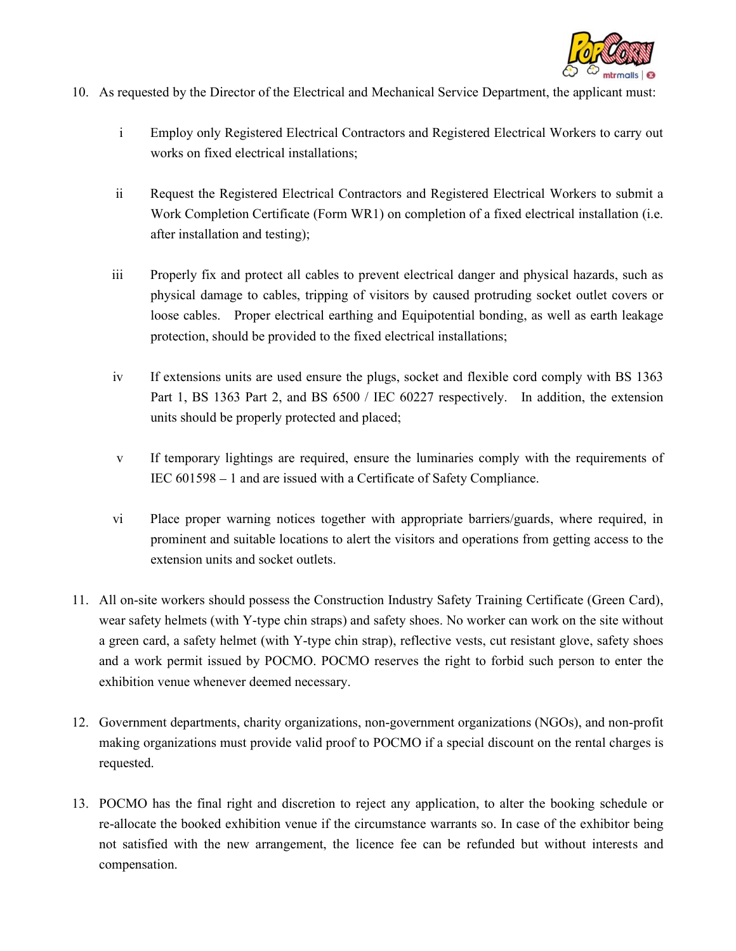

- 10. As requested by the Director of the Electrical and Mechanical Service Department, the applicant must:
	- i Employ only Registered Electrical Contractors and Registered Electrical Workers to carry out works on fixed electrical installations;
	- ii Request the Registered Electrical Contractors and Registered Electrical Workers to submit a Work Completion Certificate (Form WR1) on completion of a fixed electrical installation (i.e. after installation and testing);
	- iii Properly fix and protect all cables to prevent electrical danger and physical hazards, such as physical damage to cables, tripping of visitors by caused protruding socket outlet covers or loose cables. Proper electrical earthing and Equipotential bonding, as well as earth leakage protection, should be provided to the fixed electrical installations;
	- iv If extensions units are used ensure the plugs, socket and flexible cord comply with BS 1363 Part 1, BS 1363 Part 2, and BS 6500 / IEC 60227 respectively. In addition, the extension units should be properly protected and placed;
	- v If temporary lightings are required, ensure the luminaries comply with the requirements of IEC  $601598 - 1$  and are issued with a Certificate of Safety Compliance.
	- vi Place proper warning notices together with appropriate barriers/guards, where required, in prominent and suitable locations to alert the visitors and operations from getting access to the extension units and socket outlets.
- 11. All on-site workers should possess the Construction Industry Safety Training Certificate (Green Card), wear safety helmets (with Y-type chin straps) and safety shoes. No worker can work on the site without a green card, a safety helmet (with Y-type chin strap), reflective vests, cut resistant glove, safety shoes and a work permit issued by POCMO. POCMO reserves the right to forbid such person to enter the exhibition venue whenever deemed necessary.
- 12. Government departments, charity organizations, non-government organizations (NGOs), and non-profit making organizations must provide valid proof to POCMO if a special discount on the rental charges is requested.
- 13. POCMO has the final right and discretion to reject any application, to alter the booking schedule or re-allocate the booked exhibition venue if the circumstance warrants so. In case of the exhibitor being not satisfied with the new arrangement, the licence fee can be refunded but without interests and compensation.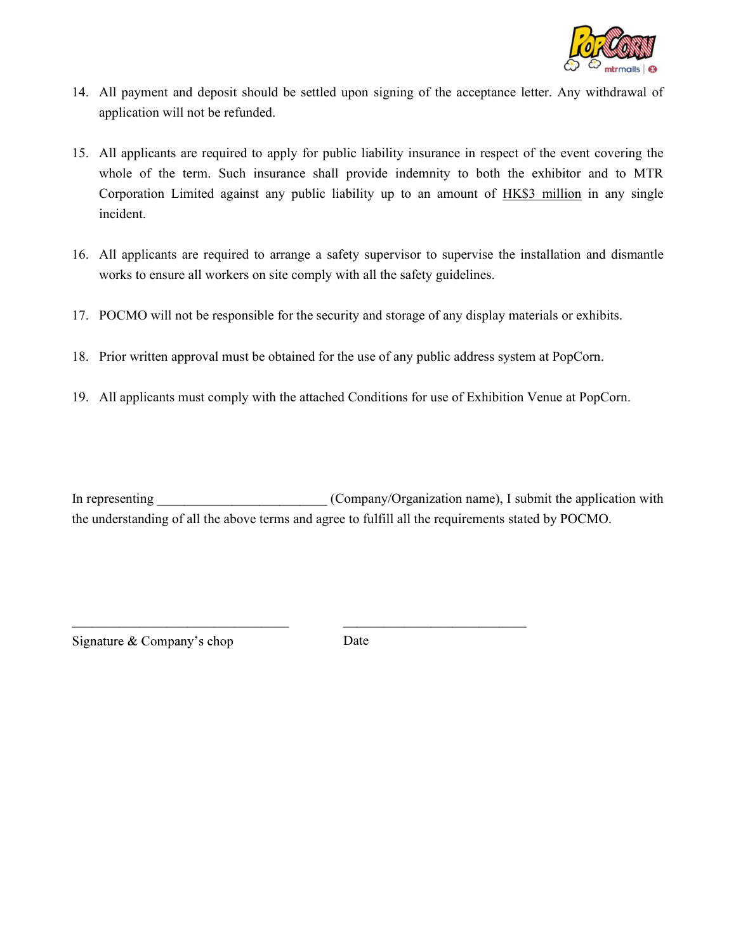

- 14. All payment and deposit should be settled upon signing of the acceptance letter. Any withdrawal of application will not be refunded.
- 15. All applicants are required to apply for public liability insurance in respect of the event covering the whole of the term. Such insurance shall provide indemnity to both the exhibitor and to MTR Corporation Limited against any public liability up to an amount of HK\$3 million in any single incident.
- 16. All applicants are required to arrange a safety supervisor to supervise the installation and dismantle works to ensure all workers on site comply with all the safety guidelines.
- 17. POCMO will not be responsible for the security and storage of any display materials or exhibits.
- 18. Prior written approval must be obtained for the use of any public address system at PopCorn.
- 19. All applicants must comply with the attached Conditions for use of Exhibition Venue at PopCorn.

In representing  $(Comparization name)$ , I submit the application with the understanding of all the above terms and agree to fulfill all the requirements stated by POCMO.

Signature & Company's chop Date